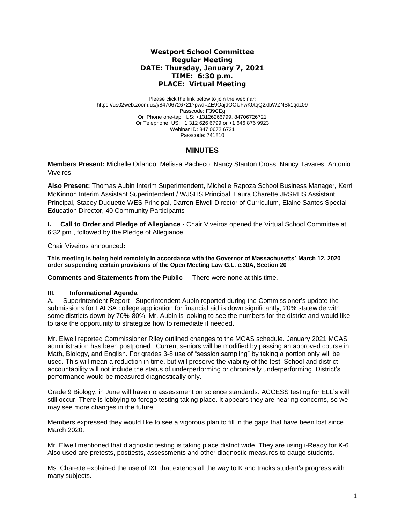## **Westport School Committee Regular Meeting DATE: Thursday, January 7, 2021 TIME: 6:30 p.m. PLACE: Virtual Meeting**

Please click the link below to join the webinar: https://us02web.zoom.us/j/84706726721?pwd=ZE9OajdOOUFwK0tqQ2xlbWZNSk1qdz09 Passcode: F39CEg Or iPhone one-tap: US: +13126266799, 84706726721 Or Telephone: US: +1 312 626 6799 or +1 646 876 9923 Webinar ID: 847 0672 6721 Passcode: 741810

# **MINUTES**

**Members Present:** Michelle Orlando, Melissa Pacheco, Nancy Stanton Cross, Nancy Tavares*,* Antonio Viveiros

**Also Present:** Thomas Aubin Interim Superintendent, Michelle Rapoza School Business Manager, Kerri McKinnon Interim Assistant Superintendent / WJSHS Principal, Laura Charette JRSRHS Assistant Principal, Stacey Duquette WES Principal, Darren Elwell Director of Curriculum, Elaine Santos Special Education Director, 40 Community Participants

**I.** Call to Order and Pledge of Allegiance - Chair Viveiros opened the Virtual School Committee at 6:32 pm., followed by the Pledge of Allegiance.

### Chair Viveiros announced**:**

**This meeting is being held remotely in accordance with the Governor of Massachusetts' March 12, 2020 order suspending certain provisions of the Open Meeting Law G.L. c.30A, Section 20**

**Comments and Statements from the Public** - There were none at this time.

## **III. Informational Agenda**

A. Superintendent Report - Superintendent Aubin reported during the Commissioner's update the submissions for FAFSA college application for financial aid is down significantly, 20% statewide with some districts down by 70%-80%. Mr. Aubin is looking to see the numbers for the district and would like to take the opportunity to strategize how to remediate if needed.

Mr. Elwell reported Commissioner Riley outlined changes to the MCAS schedule. January 2021 MCAS administration has been postponed. Current seniors will be modified by passing an approved course in Math, Biology, and English. For grades 3-8 use of "session sampling" by taking a portion only will be used. This will mean a reduction in time, but will preserve the viability of the test. School and district accountability will not include the status of underperforming or chronically underperforming. District's performance would be measured diagnostically only.

Grade 9 Biology, in June will have no assessment on science standards. ACCESS testing for ELL's will still occur. There is lobbying to forego testing taking place. It appears they are hearing concerns, so we may see more changes in the future.

Members expressed they would like to see a vigorous plan to fill in the gaps that have been lost since March 2020.

Mr. Elwell mentioned that diagnostic testing is taking place district wide. They are using i-Ready for K-6. Also used are pretests, posttests, assessments and other diagnostic measures to gauge students.

Ms. Charette explained the use of IXL that extends all the way to K and tracks student's progress with many subjects.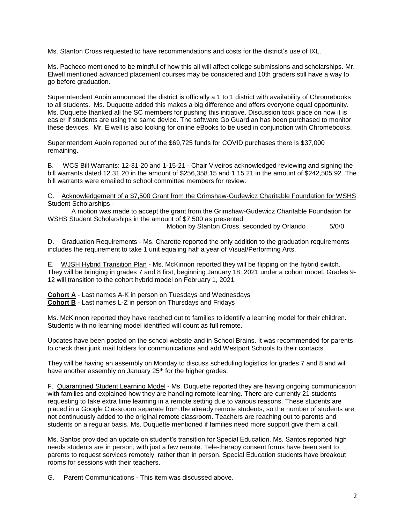Ms. Stanton Cross requested to have recommendations and costs for the district's use of IXL.

Ms. Pacheco mentioned to be mindful of how this all will affect college submissions and scholarships. Mr. Elwell mentioned advanced placement courses may be considered and 10th graders still have a way to go before graduation.

Superintendent Aubin announced the district is officially a 1 to 1 district with availability of Chromebooks to all students. Ms. Duquette added this makes a big difference and offers everyone equal opportunity. Ms. Duquette thanked all the SC members for pushing this initiative. Discussion took place on how it is easier if students are using the same device. The software Go Guardian has been purchased to monitor these devices. Mr. Elwell is also looking for online eBooks to be used in conjunction with Chromebooks.

Superintendent Aubin reported out of the \$69,725 funds for COVID purchases there is \$37,000 remaining.

B. WCS Bill Warrants: 12-31-20 and 1-15-21 - Chair Viveiros acknowledged reviewing and signing the bill warrants dated 12.31.20 in the amount of \$256,358.15 and 1.15.21 in the amount of \$242,505.92. The bill warrants were emailed to school committee members for review.

C. Acknowledgement of a \$7,500 Grant from the Grimshaw-Gudewicz Charitable Foundation for WSHS Student Scholarships -

A motion was made to accept the grant from the Grimshaw-Gudewicz Charitable Foundation for WSHS Student Scholarships in the amount of \$7,500 as presented.

Motion by Stanton Cross, seconded by Orlando 5/0/0

D. Graduation Requirements - Ms. Charette reported the only addition to the graduation requirements includes the requirement to take 1 unit equaling half a year of Visual/Performing Arts.

E. WJSH Hybrid Transition Plan - Ms. McKinnon reported they will be flipping on the hybrid switch. They will be bringing in grades 7 and 8 first, beginning January 18, 2021 under a cohort model. Grades 9- 12 will transition to the cohort hybrid model on February 1, 2021.

**Cohort A** - Last names A-K in person on Tuesdays and Wednesdays **Cohort B** - Last names L-Z in person on Thursdays and Fridays

Ms. McKinnon reported they have reached out to families to identify a learning model for their children. Students with no learning model identified will count as full remote.

Updates have been posted on the school website and in School Brains. It was recommended for parents to check their junk mail folders for communications and add Westport Schools to their contacts.

They will be having an assembly on Monday to discuss scheduling logistics for grades 7 and 8 and will have another assembly on January 25<sup>th</sup> for the higher grades.

F. Quarantined Student Learning Model - Ms. Duquette reported they are having ongoing communication with families and explained how they are handling remote learning. There are currently 21 students requesting to take extra time learning in a remote setting due to various reasons. These students are placed in a Google Classroom separate from the already remote students, so the number of students are not continuously added to the original remote classroom. Teachers are reaching out to parents and students on a regular basis. Ms. Duquette mentioned if families need more support give them a call.

Ms. Santos provided an update on student's transition for Special Education. Ms. Santos reported high needs students are in person, with just a few remote. Tele-therapy consent forms have been sent to parents to request services remotely, rather than in person. Special Education students have breakout rooms for sessions with their teachers.

G. Parent Communications - This item was discussed above.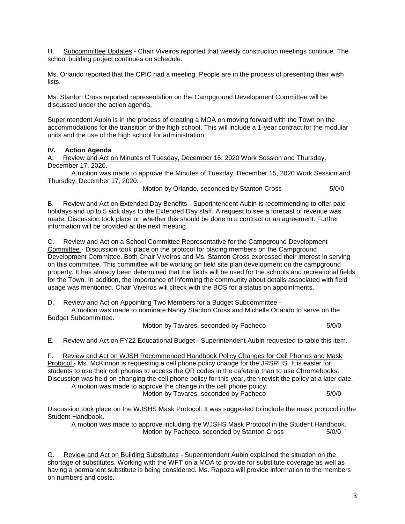H. Subcommittee Updates - Chair Viveiros reported that weekly construction meetings continue. The school building project continues on schedule.

Ms. Orlando reported that the CPIC had a meeting. People are in the process of presenting their wish lists.

Ms. Stanton Cross reported representation on the Campground Development Committee will be discussed under the action agenda.

Superintendent Aubin is in the process of creating a MOA on moving forward with the Town on the accommodations for the transition of the high school. This will include a 1-year contract for the modular units and the use of the high school for administration.

## **IV. Action Agenda**

A. Review and Act on Minutes of Tuesday, December 15, 2020 Work Session and Thursday, December 17, 2020.

A motion was made to approve the Minutes of Tuesday, December 15, 2020 Work Session and Thursday, December 17, 2020.

Motion by Orlando, seconded by Stanton Cross 5/0/0

B. Review and Act on Extended Day Benefits - Superintendent Aubin is recommending to offer paid holidays and up to 5 sick days to the Extended Day staff. A request to see a forecast of revenue was made. Discussion took place on whether this should be done in a contract or an agreement. Further information will be provided at the next meeting.

C. Review and Act on a School Committee Representative for the Campground Development Committee - Discussion took place on the protocol for placing members on the Campground Development Committee. Both Chair Viveiros and Ms. Stanton Cross expressed their interest in serving on this committee. This committee will be working on field site plan development on the campground property. It has already been determined that the fields will be used for the schools and recreational fields for the Town. In addition, the importance of informing the community about details associated with field usage was mentioned. Chair Viveiros will check with the BOS for a status on appointments.

D. Review and Act on Appointing Two Members for a Budget Subcommittee -

A motion was made to nominate Nancy Stanton Cross and Michelle Orlando to serve on the Budget Subcommittee.

Motion by Tavares, seconded by Pacheco 5/0/0

E. Review and Act on FY22 Educational Budget - Superintendent Aubin requested to table this item.

F. Review and Act on WJSH Recommended Handbook Policy Changes for Cell Phones and Mask Protocol - Ms. McKinnon is requesting a cell phone policy change for the JRSRHS. It is easier for students to use their cell phones to access the QR codes in the cafeteria than to use Chromebooks. Discussion was held on changing the cell phone policy for this year, then revisit the policy at a later date. A motion was made to approve the change in the cell phone policy.

Motion by Tavares, seconded by Pacheco 5/0/0

Discussion took place on the WJSHS Mask Protocol. It was suggested to include the mask protocol in the Student Handbook.

A motion was made to approve including the WJSHS Mask Protocol in the Student Handbook. Motion by Pacheco, seconded by Stanton Cross 5/0/0

G. Review and Act on Building Substitutes - Superintendent Aubin explained the situation on the shortage of substitutes. Working with the WFT on a MOA to provide for substitute coverage as well as having a permanent substitute is being considered. Ms. Rapoza will provide information to the members on numbers and costs.